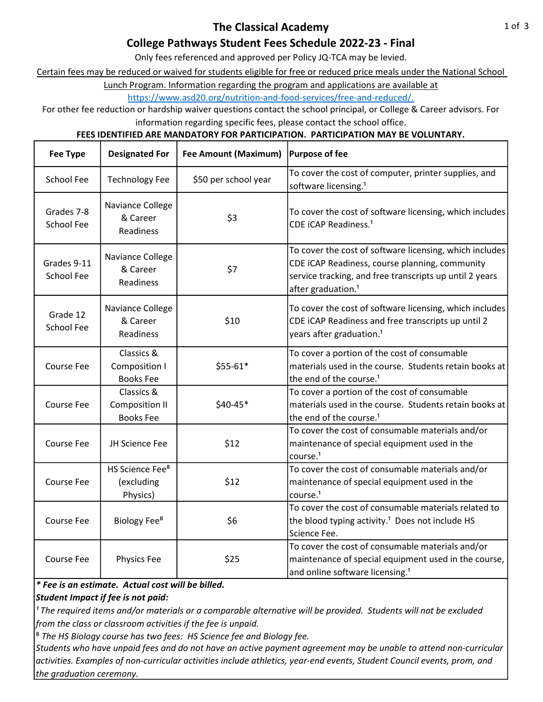# College Pathways Student Fees Schedule 2022-23 - Final

Only fees referenced and approved per Policy JQ-TCA may be levied.

Certain fees may be reduced or waived for students eligible for free or reduced price meals under the National School

https://www.asd20.org/nutrition-and-food-services/free-and-reduced/. Lunch Program. Information regarding the program and applications are available at

For other fee reduction or hardship waiver questions contact the school principal, or College & Career advisors. For

information regarding specific fees, please contact the school office.

### FEES IDENTIFIED ARE MANDATORY FOR PARTICIPATION. PARTICIPATION MAY BE VOLUNTARY.

| <b>Fee Type</b>                 | <b>Designated For</b>                                   | Fee Amount (Maximum)   Purpose of fee |                                                                                                                                                                                                        |
|---------------------------------|---------------------------------------------------------|---------------------------------------|--------------------------------------------------------------------------------------------------------------------------------------------------------------------------------------------------------|
| <b>School Fee</b>               | <b>Technology Fee</b>                                   | \$50 per school year                  | To cover the cost of computer, printer supplies, and<br>software licensing. <sup>1</sup>                                                                                                               |
| Grades 7-8<br><b>School Fee</b> | Naviance College<br>& Career<br>Readiness               | \$3                                   | To cover the cost of software licensing, which includes<br>CDE iCAP Readiness. <sup>1</sup>                                                                                                            |
| Grades 9-11<br>School Fee       | Naviance College<br>& Career<br>Readiness               | \$7                                   | To cover the cost of software licensing, which includes<br>CDE iCAP Readiness, course planning, community<br>service tracking, and free transcripts up until 2 years<br>after graduation. <sup>1</sup> |
| Grade 12<br><b>School Fee</b>   | Naviance College<br>& Career<br>Readiness               | \$10                                  | To cover the cost of software licensing, which includes<br>CDE iCAP Readiness and free transcripts up until 2<br>years after graduation. <sup>1</sup>                                                  |
| <b>Course Fee</b>               | Classics &<br>Composition I<br><b>Books Fee</b>         | \$55-61*                              | To cover a portion of the cost of consumable<br>materials used in the course. Students retain books at<br>the end of the course. <sup>1</sup>                                                          |
| <b>Course Fee</b>               | Classics &<br><b>Composition II</b><br><b>Books Fee</b> | \$40-45*                              | To cover a portion of the cost of consumable<br>materials used in the course. Students retain books at<br>the end of the course. <sup>1</sup>                                                          |
| <b>Course Fee</b>               | JH Science Fee                                          | \$12                                  | To cover the cost of consumable materials and/or<br>maintenance of special equipment used in the<br>course. <sup>1</sup>                                                                               |
| <b>Course Fee</b>               | HS Science Fee <sup>8</sup><br>(excluding<br>Physics)   | \$12                                  | To cover the cost of consumable materials and/or<br>maintenance of special equipment used in the<br>course. <sup>1</sup>                                                                               |
| <b>Course Fee</b>               | Biology Fee <sup>8</sup>                                | \$6                                   | To cover the cost of consumable materials related to<br>the blood typing activity. <sup>1</sup> Does not include HS<br>Science Fee.                                                                    |
| Course Fee                      | Physics Fee                                             | \$25                                  | To cover the cost of consumable materials and/or<br>maintenance of special equipment used in the course,<br>and online software licensing. <sup>1</sup>                                                |

\* Fee is an estimate. Actual cost will be billed.

Student Impact if fee is not paid:

<sup>1</sup> The required items and/or materials or a comparable alternative will be provided. Students will not be excluded from the class or classroom activities if the fee is unpaid.

<sup>8</sup> The HS Biology course has two fees: HS Science fee and Biology fee.

Students who have unpaid fees and do not have an active payment agreement may be unable to attend non-curricular activities. Examples of non-curricular activities include athletics, year-end events, Student Council events, prom, and the graduation ceremony.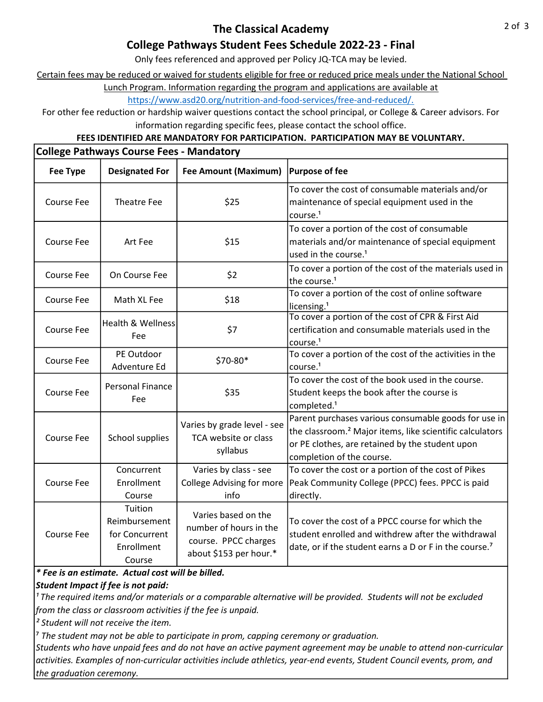## The Classical Academy

## College Pathways Student Fees Schedule 2022-23 - Final

Only fees referenced and approved per Policy JQ-TCA may be levied.

Certain fees may be reduced or waived for students eligible for free or reduced price meals under the National School

Lunch Program. Information regarding the program and applications are available at

https://www.asd20.org/nutrition-and-food-services/free-and-reduced/.

For other fee reduction or hardship waiver questions contact the school principal, or College & Career advisors. For information regarding specific fees, please contact the school office.

### FEES IDENTIFIED ARE MANDATORY FOR PARTICIPATION. PARTICIPATION MAY BE VOLUNTARY.

| <b>College Pathways Course Fees - Mandatory</b> |                                                                    |                                                                                                 |                                                                                                                                                                                                              |  |  |  |
|-------------------------------------------------|--------------------------------------------------------------------|-------------------------------------------------------------------------------------------------|--------------------------------------------------------------------------------------------------------------------------------------------------------------------------------------------------------------|--|--|--|
| <b>Fee Type</b>                                 | <b>Designated For</b>                                              | <b>Fee Amount (Maximum)</b>                                                                     | <b>Purpose of fee</b>                                                                                                                                                                                        |  |  |  |
| <b>Course Fee</b>                               | Theatre Fee                                                        | \$25                                                                                            | To cover the cost of consumable materials and/or<br>maintenance of special equipment used in the<br>course. <sup>1</sup>                                                                                     |  |  |  |
| Course Fee                                      | Art Fee                                                            | \$15                                                                                            | To cover a portion of the cost of consumable<br>materials and/or maintenance of special equipment<br>used in the course. <sup>1</sup>                                                                        |  |  |  |
| <b>Course Fee</b>                               | On Course Fee                                                      | \$2                                                                                             | To cover a portion of the cost of the materials used in<br>the course. <sup>1</sup>                                                                                                                          |  |  |  |
| <b>Course Fee</b>                               | Math XL Fee                                                        | \$18                                                                                            | To cover a portion of the cost of online software<br>licensing. <sup>1</sup>                                                                                                                                 |  |  |  |
| <b>Course Fee</b>                               | Health & Wellness<br>Fee                                           | \$7                                                                                             | To cover a portion of the cost of CPR & First Aid<br>certification and consumable materials used in the<br>course. <sup>1</sup>                                                                              |  |  |  |
| <b>Course Fee</b>                               | PE Outdoor<br>Adventure Ed                                         | \$70-80*                                                                                        | To cover a portion of the cost of the activities in the<br>course. <sup>1</sup>                                                                                                                              |  |  |  |
| <b>Course Fee</b>                               | <b>Personal Finance</b><br>Fee                                     | \$35                                                                                            | To cover the cost of the book used in the course.<br>Student keeps the book after the course is<br>completed. <sup>1</sup>                                                                                   |  |  |  |
| <b>Course Fee</b>                               | School supplies                                                    | Varies by grade level - see<br>TCA website or class<br>syllabus                                 | Parent purchases various consumable goods for use in<br>the classroom. <sup>2</sup> Major items, like scientific calculators<br>or PE clothes, are retained by the student upon<br>completion of the course. |  |  |  |
| <b>Course Fee</b>                               | Concurrent<br>Enrollment<br>Course                                 | Varies by class - see<br><b>College Advising for more</b><br>info                               | To cover the cost or a portion of the cost of Pikes<br>Peak Community College (PPCC) fees. PPCC is paid<br>directly.                                                                                         |  |  |  |
| <b>Course Fee</b>                               | Tuition<br>Reimbursement<br>for Concurrent<br>Enrollment<br>Course | Varies based on the<br>number of hours in the<br>course. PPCC charges<br>about \$153 per hour.* | To cover the cost of a PPCC course for which the<br>student enrolled and withdrew after the withdrawal<br>date, or if the student earns a D or F in the course. <sup>7</sup>                                 |  |  |  |

\* Fee is an estimate. Actual cost will be billed.

Student Impact if fee is not paid:

<sup>1</sup> The required items and/or materials or a comparable alternative will be provided. Students will not be excluded from the class or classroom activities if the fee is unpaid.

² Student will not receive the item.

 $<sup>7</sup>$  The student may not be able to participate in prom, capping ceremony or graduation.</sup>

Students who have unpaid fees and do not have an active payment agreement may be unable to attend non-curricular activities. Examples of non-curricular activities include athletics, year-end events, Student Council events, prom, and the graduation ceremony.